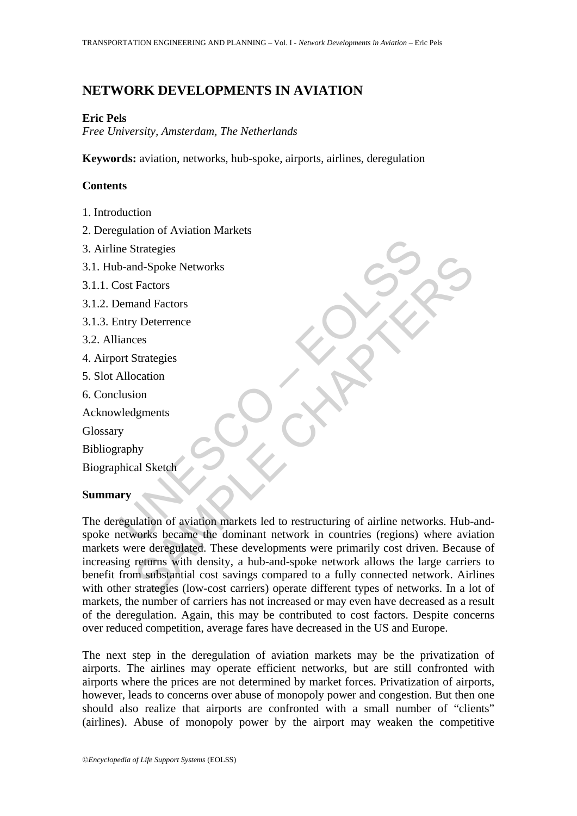# **NETWORK DEVELOPMENTS IN AVIATION**

### **Eric Pels**

*Free University, Amsterdam, The Netherlands* 

**Keywords:** aviation, networks, hub-spoke, airports, airlines, deregulation

## **Contents**

- 1. Introduction
- 2. Deregulation of Aviation Markets
- 3. Airline Strategies
- 3.1. Hub-and-Spoke Networks
- 3.1.1. Cost Factors
- 3.1.2. Demand Factors
- 3.1.3. Entry Deterrence
- 3.2. Alliances
- 4. Airport Strategies
- 5. Slot Allocation
- 6. Conclusion
- Acknowledgments
- Glossary
- Bibliography
- Biographical Sketch

## **Summary**

The Strategies<br>
Solar Spoke Networks<br>
Cost Factors<br>
the Spoke Networks<br>
termand Factors<br>
emand Factors<br>
allocation<br>
Intervents<br>
Subledgments<br>
y<br>
raphy<br>
whical Sketch<br>
Intervents<br>
segulation of aviation markets led to restr Manuscript (Manuscript)<br>
Factors<br>
and Factors<br>
and Factors<br>
y Deterrence<br>
ers<br>
Strategies<br>
cation<br>
oin<br>
ly<br>
y<br>
al Sketch<br>
why<br>
al Sketch<br>
why<br>
al Sketch<br>
why<br>
al Sketch<br>
why<br>
al Sketch<br>
why al Sketch<br>
which are deregulated The deregulation of aviation markets led to restructuring of airline networks. Hub-andspoke networks became the dominant network in countries (regions) where aviation markets were deregulated. These developments were primarily cost driven. Because of increasing returns with density, a hub-and-spoke network allows the large carriers to benefit from substantial cost savings compared to a fully connected network. Airlines with other strategies (low-cost carriers) operate different types of networks. In a lot of markets, the number of carriers has not increased or may even have decreased as a result of the deregulation. Again, this may be contributed to cost factors. Despite concerns over reduced competition, average fares have decreased in the US and Europe.

The next step in the deregulation of aviation markets may be the privatization of airports. The airlines may operate efficient networks, but are still confronted with airports where the prices are not determined by market forces. Privatization of airports, however, leads to concerns over abuse of monopoly power and congestion. But then one should also realize that airports are confronted with a small number of "clients" (airlines). Abuse of monopoly power by the airport may weaken the competitive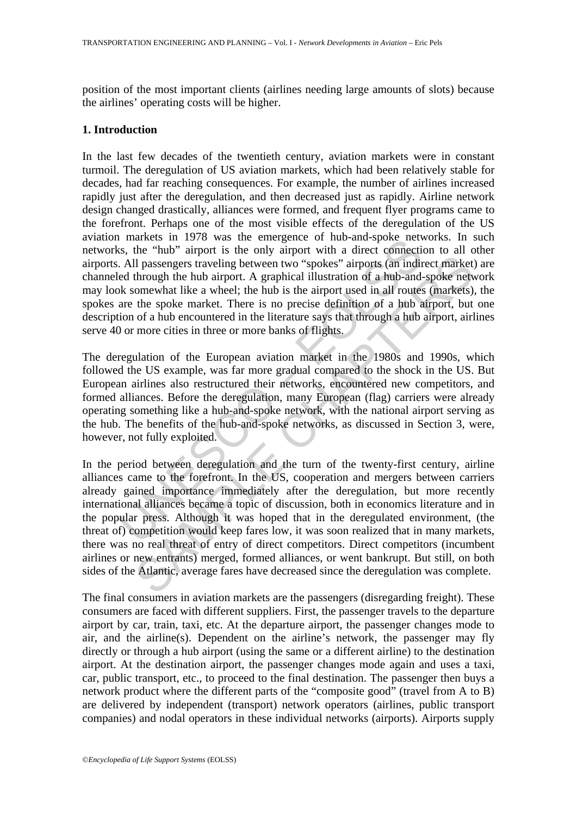position of the most important clients (airlines needing large amounts of slots) because the airlines' operating costs will be higher.

### **1. Introduction**

markets in 1976 was une einigence on nuo-anal-spoke new.<br>
E.S., the "hub" airport is the only airport with a direct connection-<br>
All passengers traveling between two "spokes" airports (an indired through the hub airport. In the last few decades of the twentieth century, aviation markets were in constant turmoil. The deregulation of US aviation markets, which had been relatively stable for decades, had far reaching consequences. For example, the number of airlines increased rapidly just after the deregulation, and then decreased just as rapidly. Airline network design changed drastically, alliances were formed, and frequent flyer programs came to the forefront. Perhaps one of the most visible effects of the deregulation of the US aviation markets in 1978 was the emergence of hub-and-spoke networks. In such networks, the "hub" airport is the only airport with a direct connection to all other airports. All passengers traveling between two "spokes" airports (an indirect market) are channeled through the hub airport. A graphical illustration of a hub-and-spoke network may look somewhat like a wheel; the hub is the airport used in all routes (markets), the spokes are the spoke market. There is no precise definition of a hub airport, but one description of a hub encountered in the literature says that through a hub airport, airlines serve 40 or more cities in three or more banks of flights.

The deregulation of the European aviation market in the 1980s and 1990s, which followed the US example, was far more gradual compared to the shock in the US. But European airlines also restructured their networks, encountered new competitors, and formed alliances. Before the deregulation, many European (flag) carriers were already operating something like a hub-and-spoke network, with the national airport serving as the hub. The benefits of the hub-and-spoke networks, as discussed in Section 3, were, however, not fully exploited.

and a large the state and a metallical illustration of a hub-and-spoke network and a model in a weight when two "spokes" airports (an indirect market through the hub airport. A graphical illustration of a hub-and-spoke net In the period between deregulation and the turn of the twenty-first century, airline alliances came to the forefront. In the US, cooperation and mergers between carriers already gained importance immediately after the deregulation, but more recently international alliances became a topic of discussion, both in economics literature and in the popular press. Although it was hoped that in the deregulated environment, (the threat of) competition would keep fares low, it was soon realized that in many markets, there was no real threat of entry of direct competitors. Direct competitors (incumbent airlines or new entrants) merged, formed alliances, or went bankrupt. But still, on both sides of the Atlantic, average fares have decreased since the deregulation was complete.

The final consumers in aviation markets are the passengers (disregarding freight). These consumers are faced with different suppliers. First, the passenger travels to the departure airport by car, train, taxi, etc. At the departure airport, the passenger changes mode to air, and the airline(s). Dependent on the airline's network, the passenger may fly directly or through a hub airport (using the same or a different airline) to the destination airport. At the destination airport, the passenger changes mode again and uses a taxi, car, public transport, etc., to proceed to the final destination. The passenger then buys a network product where the different parts of the "composite good" (travel from A to B) are delivered by independent (transport) network operators (airlines, public transport companies) and nodal operators in these individual networks (airports). Airports supply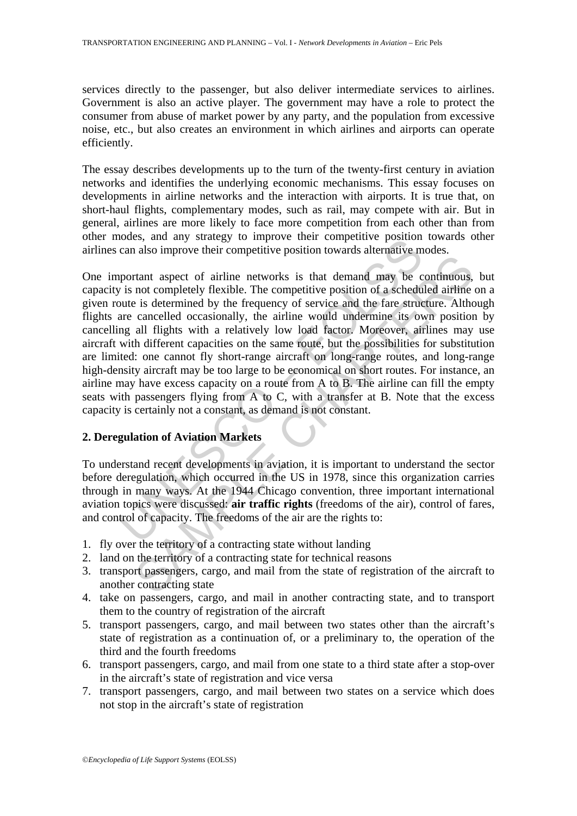services directly to the passenger, but also deliver intermediate services to airlines. Government is also an active player. The government may have a role to protect the consumer from abuse of market power by any party, and the population from excessive noise, etc., but also creates an environment in which airlines and airports can operate efficiently.

The essay describes developments up to the turn of the twenty-first century in aviation networks and identifies the underlying economic mechanisms. This essay focuses on developments in airline networks and the interaction with airports. It is true that, on short-haul flights, complementary modes, such as rail, may compete with air. But in general, airlines are more likely to face more competition from each other than from other modes, and any strategy to improve their competitive position towards other airlines can also improve their competitive position towards alternative modes.

bouses, and any strategy to improve their completative position<br>can also improve their competitive position towards alternative m<br>portant aspect of airline networks is that demand may be c<br>is not completely flexible. The c The metropological state of airline networks is that demand may be confluented in<br>the not completely flexible. The competitive position of a scheduled airline<br>is is determined by the frequency of service and the fare stru One important aspect of airline networks is that demand may be continuous, but capacity is not completely flexible. The competitive position of a scheduled airline on a given route is determined by the frequency of service and the fare structure. Although flights are cancelled occasionally, the airline would undermine its own position by cancelling all flights with a relatively low load factor. Moreover, airlines may use aircraft with different capacities on the same route, but the possibilities for substitution are limited: one cannot fly short-range aircraft on long-range routes, and long-range high-density aircraft may be too large to be economical on short routes. For instance, an airline may have excess capacity on a route from A to B. The airline can fill the empty seats with passengers flying from A to C, with a transfer at B. Note that the excess capacity is certainly not a constant, as demand is not constant.

## **2. Deregulation of Aviation Markets**

To understand recent developments in aviation, it is important to understand the sector before deregulation, which occurred in the US in 1978, since this organization carries through in many ways. At the 1944 Chicago convention, three important international aviation topics were discussed: **air traffic rights** (freedoms of the air), control of fares, and control of capacity. The freedoms of the air are the rights to:

- 1. fly over the territory of a contracting state without landing
- 2. land on the territory of a contracting state for technical reasons
- 3. transport passengers, cargo, and mail from the state of registration of the aircraft to another contracting state
- 4. take on passengers, cargo, and mail in another contracting state, and to transport them to the country of registration of the aircraft
- 5. transport passengers, cargo, and mail between two states other than the aircraft's state of registration as a continuation of, or a preliminary to, the operation of the third and the fourth freedoms
- 6. transport passengers, cargo, and mail from one state to a third state after a stop-over in the aircraft's state of registration and vice versa
- 7. transport passengers, cargo, and mail between two states on a service which does not stop in the aircraft's state of registration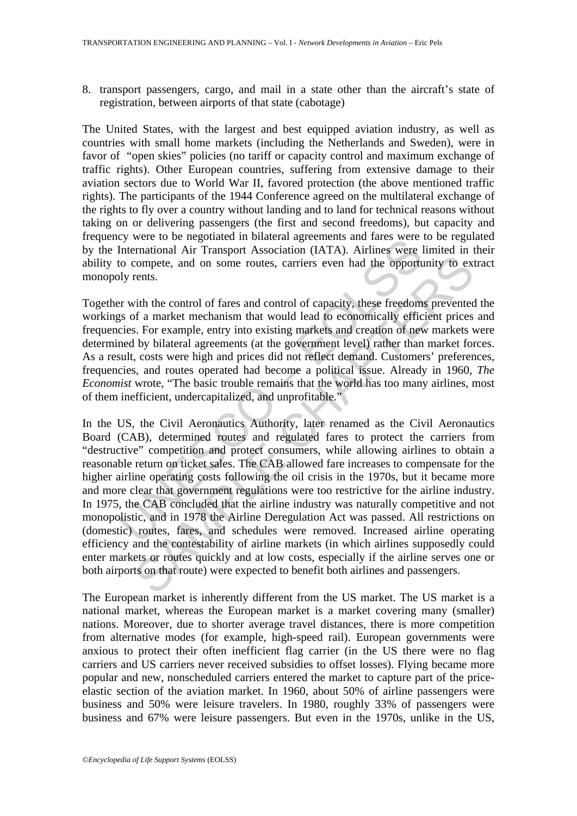8. transport passengers, cargo, and mail in a state other than the aircraft's state of registration, between airports of that state (cabotage)

The United States, with the largest and best equipped aviation industry, as well as countries with small home markets (including the Netherlands and Sweden), were in favor of "open skies" policies (no tariff or capacity control and maximum exchange of traffic rights). Other European countries, suffering from extensive damage to their aviation sectors due to World War II, favored protection (the above mentioned traffic rights). The participants of the 1944 Conference agreed on the multilateral exchange of the rights to fly over a country without landing and to land for technical reasons without taking on or delivering passengers (the first and second freedoms), but capacity and frequency were to be negotiated in bilateral agreements and fares were to be regulated by the International Air Transport Association (IATA). Airlines were limited in their ability to compete, and on some routes, carriers even had the opportunity to extract monopoly rents.

Together with the control of fares and control of capacity, these freedoms prevented the workings of a market mechanism that would lead to economically efficient prices and frequencies. For example, entry into existing markets and creation of new markets were determined by bilateral agreements (at the government level) rather than market forces. As a result, costs were high and prices did not reflect demand. Customers' preferences, frequencies, and routes operated had become a political issue. Already in 1960, *The Economist* wrote, "The basic trouble remains that the world has too many airlines, most of them inefficient, undercapitalized, and unprofitable."

by were to be negotiated in biratean agreements and rates were<br>International Air Transport Association (IATA). Airlines were line<br>tro-maintenance and on some routes, carriers even had the opporture<br>international Air Transp compete, and on some routes, carriers even had the opportunity to except<br>tents.<br>
Somptet, and on some routes, carriers even had the opportunity to except<br>
or the control of fares and control of capacity, these freedoms pre In the US, the Civil Aeronautics Authority, later renamed as the Civil Aeronautics Board (CAB), determined routes and regulated fares to protect the carriers from "destructive" competition and protect consumers, while allowing airlines to obtain a reasonable return on ticket sales. The CAB allowed fare increases to compensate for the higher airline operating costs following the oil crisis in the 1970s, but it became more and more clear that government regulations were too restrictive for the airline industry. In 1975, the CAB concluded that the airline industry was naturally competitive and not monopolistic, and in 1978 the Airline Deregulation Act was passed. All restrictions on (domestic) routes, fares, and schedules were removed. Increased airline operating efficiency and the contestability of airline markets (in which airlines supposedly could enter markets or routes quickly and at low costs, especially if the airline serves one or both airports on that route) were expected to benefit both airlines and passengers.

The European market is inherently different from the US market. The US market is a national market, whereas the European market is a market covering many (smaller) nations. Moreover, due to shorter average travel distances, there is more competition from alternative modes (for example, high-speed rail). European governments were anxious to protect their often inefficient flag carrier (in the US there were no flag carriers and US carriers never received subsidies to offset losses). Flying became more popular and new, nonscheduled carriers entered the market to capture part of the priceelastic section of the aviation market. In 1960, about 50% of airline passengers were business and 50% were leisure travelers. In 1980, roughly 33% of passengers were business and 67% were leisure passengers. But even in the 1970s, unlike in the US,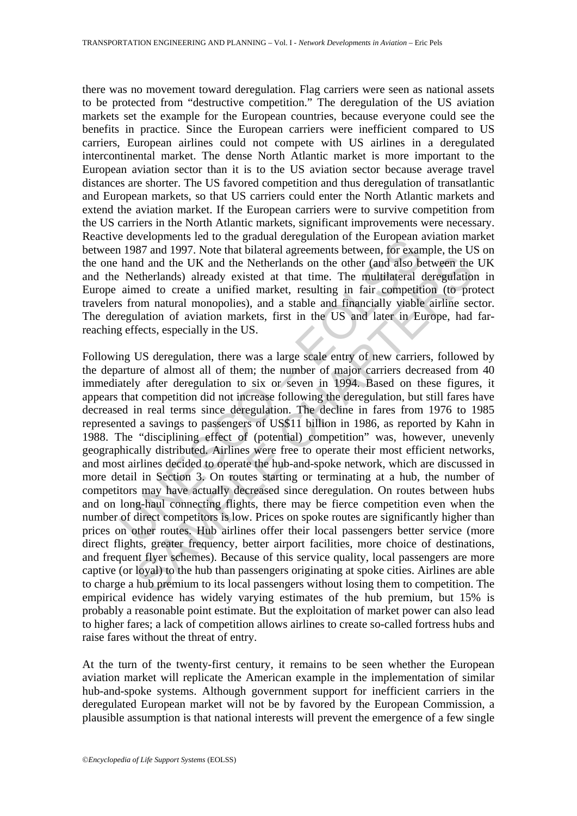there was no movement toward deregulation. Flag carriers were seen as national assets to be protected from "destructive competition." The deregulation of the US aviation markets set the example for the European countries, because everyone could see the benefits in practice. Since the European carriers were inefficient compared to US carriers, European airlines could not compete with US airlines in a deregulated intercontinental market. The dense North Atlantic market is more important to the European aviation sector than it is to the US aviation sector because average travel distances are shorter. The US favored competition and thus deregulation of transatlantic and European markets, so that US carriers could enter the North Atlantic markets and extend the aviation market. If the European carriers were to survive competition from the US carriers in the North Atlantic markets, significant improvements were necessary. Reactive developments led to the gradual deregulation of the European aviation market between 1987 and 1997. Note that bilateral agreements between, for example, the US on the one hand and the UK and the Netherlands on the other (and also between the UK and the Netherlands) already existed at that time. The multilateral deregulation in Europe aimed to create a unified market, resulting in fair competition (to protect travelers from natural monopolies), and a stable and financially viable airline sector. The deregulation of aviation markets, first in the US and later in Europe, had farreaching effects, especially in the US.

e everophens is control and derigination of the Conspeared enterpative and the Consense of the product and and the UK and the Netherlands on the other (and also be Netherlands) already existed at that time. The multilatera nd and the UK and the Netherlands on the other (and also between the etherlands) already existed at that time. The multilateral deregulation etherlands) already existed at that time. The multilateral deregulation (to prote Following US deregulation, there was a large scale entry of new carriers, followed by the departure of almost all of them; the number of major carriers decreased from 40 immediately after deregulation to six or seven in 1994. Based on these figures, it appears that competition did not increase following the deregulation, but still fares have decreased in real terms since deregulation. The decline in fares from 1976 to 1985 represented a savings to passengers of US\$11 billion in 1986, as reported by Kahn in 1988. The "disciplining effect of (potential) competition" was, however, unevenly geographically distributed. Airlines were free to operate their most efficient networks, and most airlines decided to operate the hub-and-spoke network, which are discussed in more detail in Section 3. On routes starting or terminating at a hub, the number of competitors may have actually decreased since deregulation. On routes between hubs and on long-haul connecting flights, there may be fierce competition even when the number of direct competitors is low. Prices on spoke routes are significantly higher than prices on other routes. Hub airlines offer their local passengers better service (more direct flights, greater frequency, better airport facilities, more choice of destinations, and frequent flyer schemes). Because of this service quality, local passengers are more captive (or loyal) to the hub than passengers originating at spoke cities. Airlines are able to charge a hub premium to its local passengers without losing them to competition. The empirical evidence has widely varying estimates of the hub premium, but 15% is probably a reasonable point estimate. But the exploitation of market power can also lead to higher fares; a lack of competition allows airlines to create so-called fortress hubs and raise fares without the threat of entry.

At the turn of the twenty-first century, it remains to be seen whether the European aviation market will replicate the American example in the implementation of similar hub-and-spoke systems. Although government support for inefficient carriers in the deregulated European market will not be by favored by the European Commission, a plausible assumption is that national interests will prevent the emergence of a few single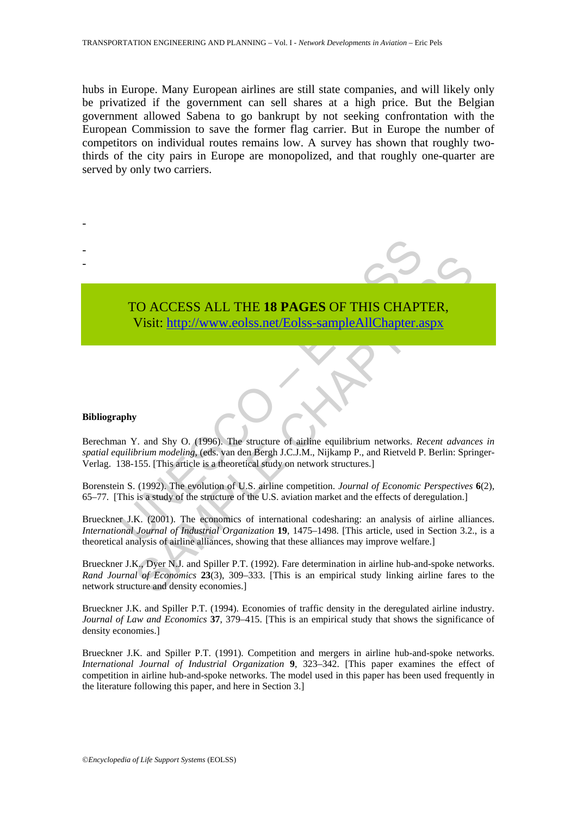hubs in Europe. Many European airlines are still state companies, and will likely only be privatized if the government can sell shares at a high price. But the Belgian government allowed Sabena to go bankrupt by not seeking confrontation with the European Commission to save the former flag carrier. But in Europe the number of competitors on individual routes remains low. A survey has shown that roughly twothirds of the city pairs in Europe are monopolized, and that roughly one-quarter are served by only two carriers.

> TO ACCESS ALL THE **18 PAGES** OF THIS CHAPTER, Visit: http://www.eolss.net/Eolss-sampleAllChapter.aspx

#### **Bibliography**

-

- -

TO ACCESS ALL THE 18 PAGES OF THIS CHAP<br>Visit: http://www.eolss.net/Eolss-sampleAllChapter.a<br>paper Visit: http://www.eolss.net/Eolss-sampleAllChapter.a<br>paper V. and Shy O. (1996). The structure of airline equilibrium netwo Berechman Y. and Shy O. (1996). The structure of airline equilibrium networks. *Recent advances in spatial equilibrium modeling*, (eds. van den Bergh J.C.J.M., Nijkamp P., and Rietveld P. Berlin: Springer-Verlag. 138-155. [This article is a theoretical study on network structures.]

Borenstein S. (1992). The evolution of U.S. airline competition. *Journal of Economic Perspectives* **6**(2), 65–77. [This is a study of the structure of the U.S. aviation market and the effects of deregulation.]

CO ACCESS ALL THE 18 PAGES OF THIS CHAP[TER](https://www.eolss.net/ebooklib/sc_cart.aspx?File=E6-40-02-06),<br>Visit:  $\frac{\text{http://www.eolss.net/Eolss-sample/AlChapter aspx}}{\text{http://www.eolss.net/Eolss-sample/AlChapter aspx}}$ <br>
For the string modeling, (eds.), The structure of airline equilibrium metworks. *Recent advance*<br>
155. [This article is a Brueckner J.K. (2001). The economics of international codesharing: an analysis of airline alliances. *International Journal of Industrial Organization* **19**, 1475–1498. [This article, used in Section 3.2., is a theoretical analysis of airline alliances, showing that these alliances may improve welfare.]

Brueckner J.K., Dyer N.J. and Spiller P.T. (1992). Fare determination in airline hub-and-spoke networks. *Rand Journal of Economics* **23**(3), 309–333. [This is an empirical study linking airline fares to the network structure and density economies.]

Brueckner J.K. and Spiller P.T. (1994). Economies of traffic density in the deregulated airline industry. *Journal of Law and Economics* **37**, 379–415. [This is an empirical study that shows the significance of density economies.]

Brueckner J.K. and Spiller P.T. (1991). Competition and mergers in airline hub-and-spoke networks. *International Journal of Industrial Organization* **9**, 323–342. [This paper examines the effect of competition in airline hub-and-spoke networks. The model used in this paper has been used frequently in the literature following this paper, and here in Section 3.]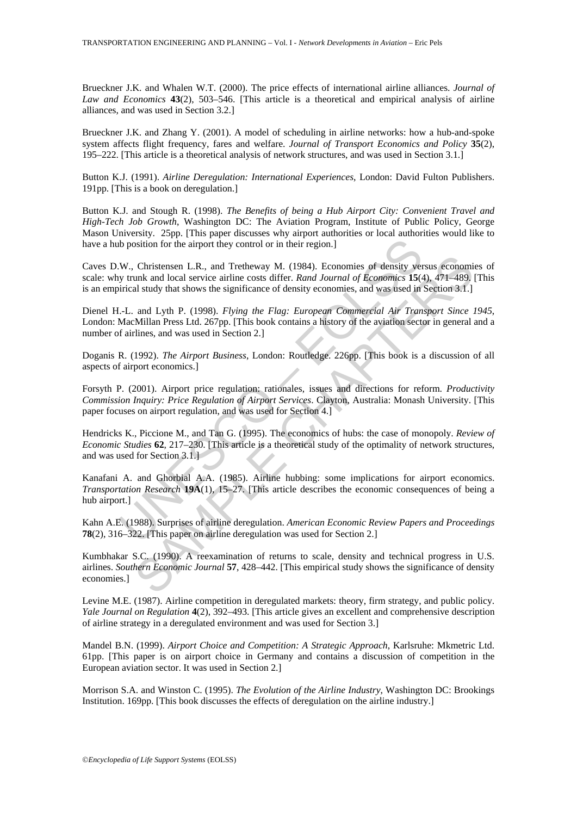Brueckner J.K. and Whalen W.T. (2000). The price effects of international airline alliances. *Journal of Law and Economics* **43**(2), 503–546. [This article is a theoretical and empirical analysis of airline alliances, and was used in Section 3.2.]

Brueckner J.K. and Zhang Y. (2001). A model of scheduling in airline networks: how a hub-and-spoke system affects flight frequency, fares and welfare. *Journal of Transport Economics and Policy* **35**(2), 195–222. [This article is a theoretical analysis of network structures, and was used in Section 3.1.]

Button K.J. (1991). *Airline Deregulation: International Experiences*, London: David Fulton Publishers. 191pp. [This is a book on deregulation.]

Button K.J. and Stough R. (1998). *The Benefits of being a Hub Airport City: Convenient Travel and High-Tech Job Growth*, Washington DC: The Aviation Program, Institute of Public Policy, George Mason University. 25pp. [This paper discusses why airport authorities or local authorities would like to have a hub position for the airport they control or in their region.]

the position for the airport they control or in their region.]<br>
W., Christensen L.R., and Tretheway M. (1984). Economies of density very trunk and local service airline costs differ. Rand Journal of Economics 15(4)<br>
right Christensen L.R., and Tretheway M. (1984). Economies of density versus economial unk and local service airline costs differ. *Rand Journal of Economics* 15(4), 471–489, and usudy that shows the significance of density eco Caves D.W., Christensen L.R., and Tretheway M. (1984). Economies of density versus economies of scale: why trunk and local service airline costs differ. *Rand Journal of Economics* **15**(4), 471–489. [This is an empirical study that shows the significance of density economies, and was used in Section 3.1.]

Dienel H.-L. and Lyth P. (1998). *Flying the Flag: European Commercial Air Transport Since 1945*, London: MacMillan Press Ltd. 267pp. [This book contains a history of the aviation sector in general and a number of airlines, and was used in Section 2.]

Doganis R. (1992). *The Airport Business*, London: Routledge. 226pp. [This book is a discussion of all aspects of airport economics.]

Forsyth P. (2001). Airport price regulation: rationales, issues and directions for reform. *Productivity Commission Inquiry: Price Regulation of Airport Services*. Clayton, Australia: Monash University. [This paper focuses on airport regulation, and was used for Section 4.]

Hendricks K., Piccione M., and Tan G. (1995). The economics of hubs: the case of monopoly. *Review of Economic Studies* **62**, 217–230. [This article is a theoretical study of the optimality of network structures, and was used for Section 3.1.]

Kanafani A. and Ghorbial A.A. (1985). Airline hubbing: some implications for airport economics. *Transportation Research* **19A**(1), 15–27. [This article describes the economic consequences of being a hub airport.]

Kahn A.E. (1988). Surprises of airline deregulation. *American Economic Review Papers and Proceedings* **78**(2), 316–322. [This paper on airline deregulation was used for Section 2.]

Kumbhakar S.C. (1990). A reexamination of returns to scale, density and technical progress in U.S. airlines. *Southern Economic Journal* **57**, 428–442. [This empirical study shows the significance of density economies.]

Levine M.E. (1987). Airline competition in deregulated markets: theory, firm strategy, and public policy. *Yale Journal on Regulation* **4**(2), 392–493. [This article gives an excellent and comprehensive description of airline strategy in a deregulated environment and was used for Section 3.]

Mandel B.N. (1999). *Airport Choice and Competition: A Strategic Approach*, Karlsruhe: Mkmetric Ltd. 61pp. [This paper is on airport choice in Germany and contains a discussion of competition in the European aviation sector. It was used in Section 2.]

Morrison S.A. and Winston C. (1995). *The Evolution of the Airline Industry*, Washington DC: Brookings Institution. 169pp. [This book discusses the effects of deregulation on the airline industry.]